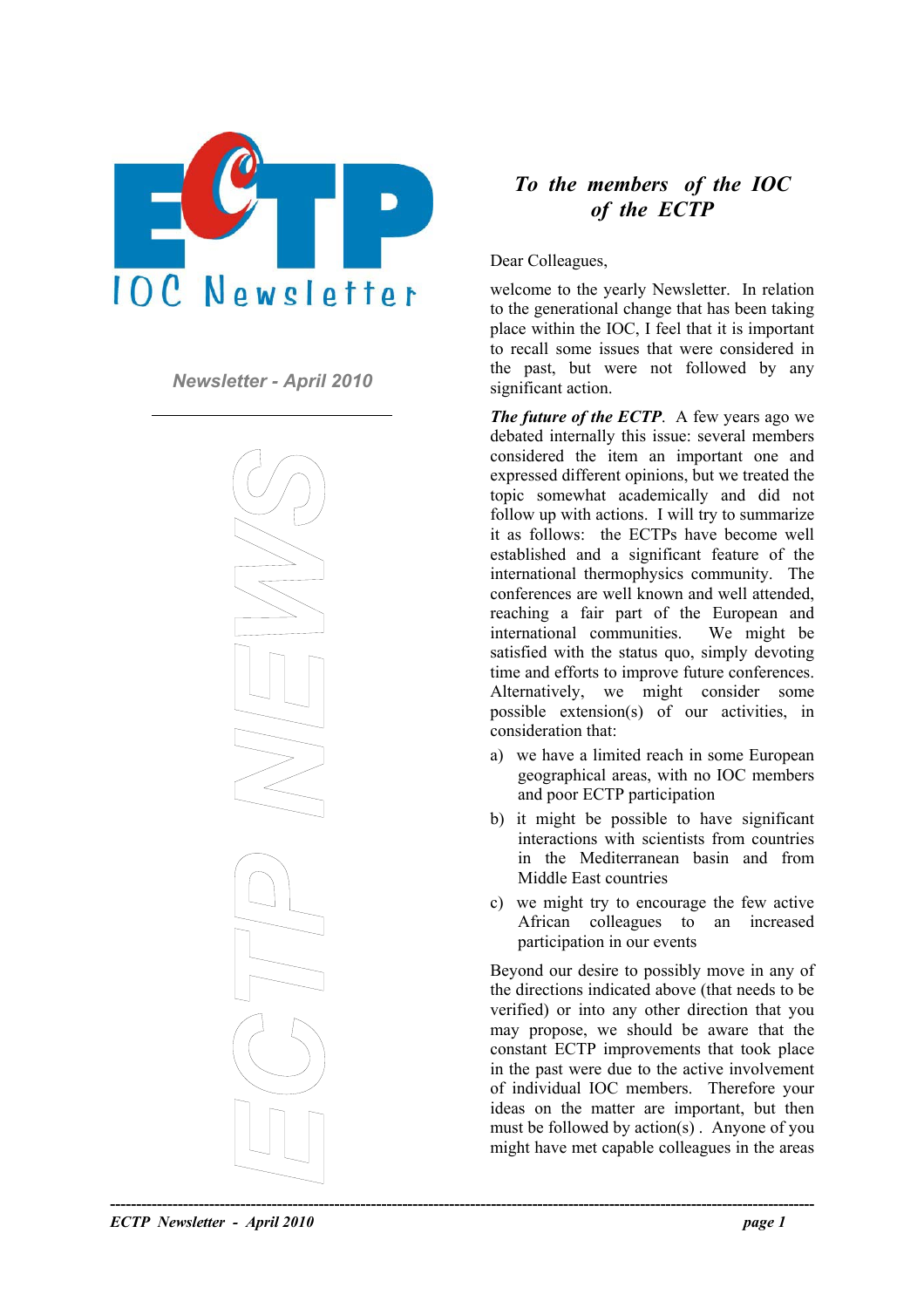



## *To the members of the IOC of the ECTP*

Dear Colleagues,

welcome to the yearly Newsletter. In relation to the generational change that has been taking place within the IOC, I feel that it is important to recall some issues that were considered in **Newsletter - April 2010 the past, but were not followed by any significant action.** 

> *The future of the ECTP.* A few years ago we debated internally this issue: several members considered the item an important one and expressed different opinions, but we treated the topic somewhat academically and did not follow up with actions. I will try to summarize it as follows: the ECTPs have become well established and a significant feature of the international thermophysics community. The conferences are well known and well attended, reaching a fair part of the European and international communities. We might be satisfied with the status quo, simply devoting time and efforts to improve future conferences. Alternatively, we might consider some possible extension(s) of our activities, in consideration that:

- a) we have a limited reach in some European geographical areas, with no IOC members and poor ECTP participation
- b) it might be possible to have significant interactions with scientists from countries in the Mediterranean basin and from Middle East countries
- c) we might try to encourage the few active African colleagues to an increased participation in our events

Beyond our desire to possibly move in any of the directions indicated above (that needs to be verified) or into any other direction that you may propose, we should be aware that the constant ECTP improvements that took place in the past were due to the active involvement of individual IOC members. Therefore your ideas on the matter are important, but then must be followed by action(s) . Anyone of you might have met capable colleagues in the areas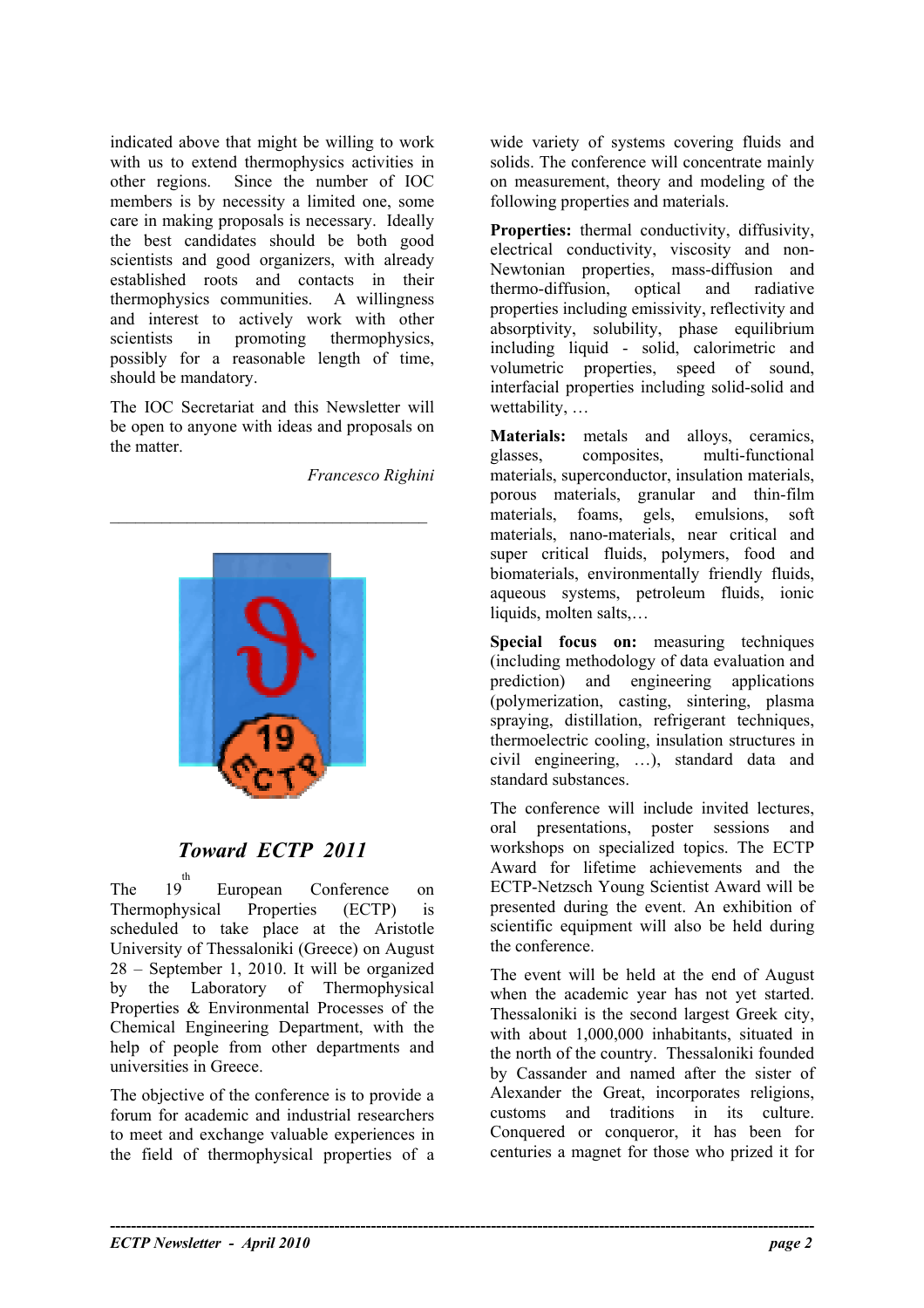indicated above that might be willing to work with us to extend thermophysics activities in other regions. Since the number of IOC members is by necessity a limited one, some care in making proposals is necessary. Ideally the best candidates should be both good scientists and good organizers, with already established roots and contacts in their thermophysics communities. A willingness and interest to actively work with other scientists in promoting thermophysics, possibly for a reasonable length of time, should be mandatory.

The IOC Secretariat and this Newsletter will be open to anyone with ideas and proposals on the matter.

*Francesco Righini* 



# *Toward ECTP 2011*

The  $19^{t}$ European Conference on Thermophysical Properties (ECTP) is scheduled to take place at the Aristotle University of Thessaloniki (Greece) on August 28 – September 1, 2010. It will be organized by the Laboratory of Thermophysical Properties & Environmental Processes of the Chemical Engineering Department, with the help of people from other departments and universities in Greece.

The objective of the conference is to provide a forum for academic and industrial researchers to meet and exchange valuable experiences in the field of thermophysical properties of a

wide variety of systems covering fluids and solids. The conference will concentrate mainly on measurement, theory and modeling of the following properties and materials.

Properties: thermal conductivity, diffusivity, electrical conductivity, viscosity and non-Newtonian properties, mass-diffusion and thermo-diffusion, optical and radiative properties including emissivity, reflectivity and absorptivity, solubility, phase equilibrium including liquid - solid, calorimetric and volumetric properties, speed of sound, interfacial properties including solid-solid and wettability, …

**Materials:** metals and alloys, ceramics, glasses, composites, multi-functional materials, superconductor, insulation materials, porous materials, granular and thin-film materials, foams, gels, emulsions, soft materials, nano-materials, near critical and super critical fluids, polymers, food and biomaterials, environmentally friendly fluids, aqueous systems, petroleum fluids, ionic liquids, molten salts,…

**Special focus on:** measuring techniques (including methodology of data evaluation and prediction) and engineering applications (polymerization, casting, sintering, plasma spraying, distillation, refrigerant techniques, thermoelectric cooling, insulation structures in civil engineering, …), standard data and standard substances.

The conference will include invited lectures, oral presentations, poster sessions and workshops on specialized topics. The ECTP Award for lifetime achievements and the ECTP-Netzsch Young Scientist Award will be presented during the event. An exhibition of scientific equipment will also be held during the conference.

The event will be held at the end of August when the academic year has not yet started. Thessaloniki is the second largest Greek city, with about 1,000,000 inhabitants, situated in the north of the country. Thessaloniki founded by Cassander and named after the sister of Alexander the Great, incorporates religions, customs and traditions in its culture. Conquered or conqueror, it has been for centuries a magnet for those who prized it for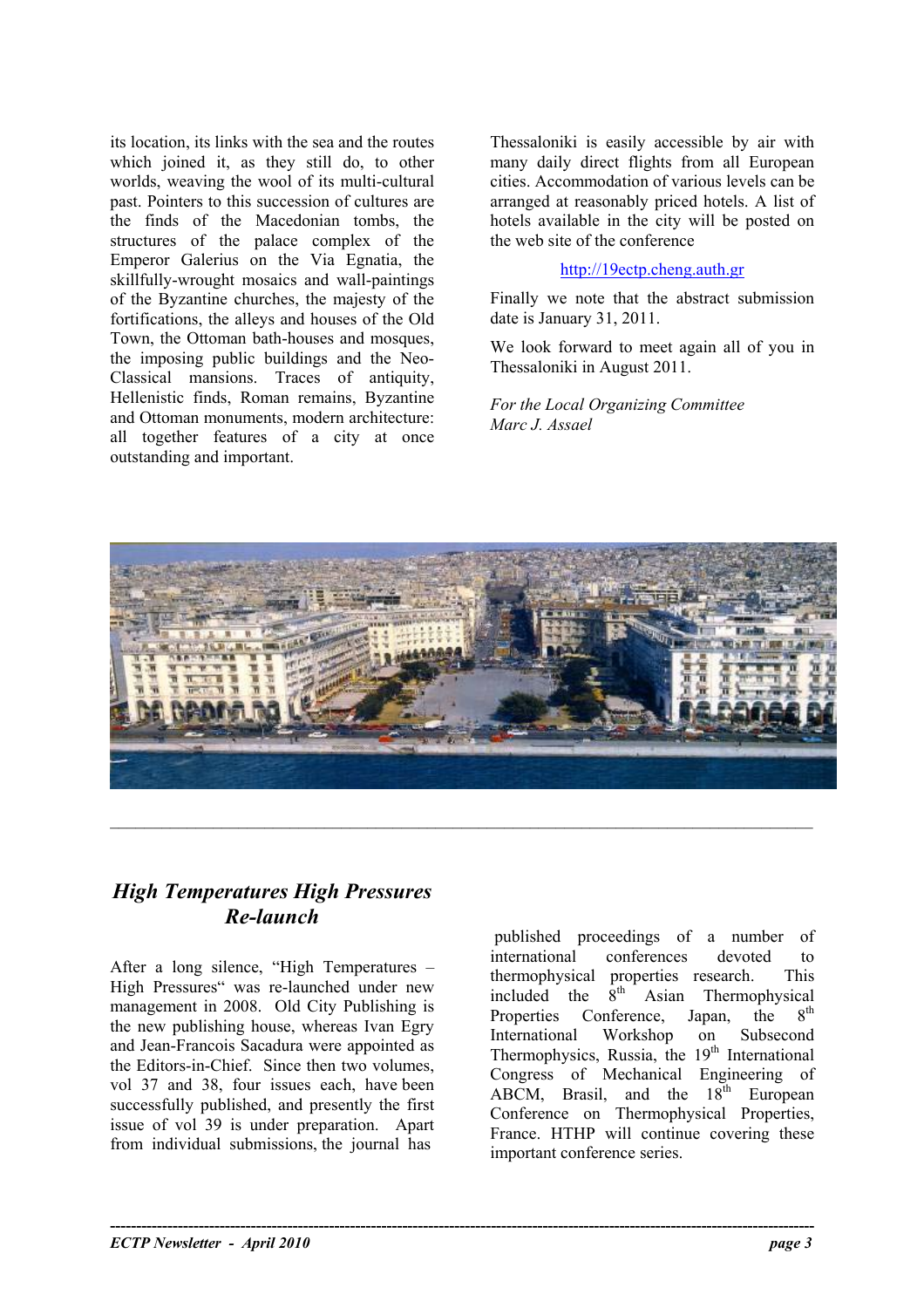its location, its links with the sea and the routes which joined it, as they still do, to other worlds, weaving the wool of its multi-cultural past. Pointers to this succession of cultures are the finds of the Macedonian tombs, the structures of the palace complex of the Emperor Galerius on the Via Egnatia, the skillfully-wrought mosaics and wall-paintings of the Byzantine churches, the majesty of the fortifications, the alleys and houses of the Old Town, the Ottoman bath-houses and mosques, the imposing public buildings and the Neo-Classical mansions. Traces of antiquity, Hellenistic finds, Roman remains, Byzantine and Ottoman monuments, modern architecture: all together features of a city at once outstanding and important.

Thessaloniki is easily accessible by air with many daily direct flights from all European cities. Accommodation of various levels can be arranged at reasonably priced hotels. A list of hotels available in the city will be posted on the web site of the conference

#### [http://19ectp.cheng.auth.gr](http://19ectp.cheng.auth.gr/)

Finally we note that the abstract submission date is January 31, 2011.

We look forward to meet again all of you in Thessaloniki in August 2011.

*For the Local Organizing Committee Marc J. Assael* 



**----------------------------------------------------------------------------------------------------------------------------------------** 

### *High Temperatures High Pressures Re-launch*

After a long silence, "High Temperatures – High Pressures" was re-launched under new management in 2008. Old City Publishing is the new publishing house, whereas Ivan Egry and Jean-Francois Sacadura were appointed as the Editors-in-Chief. Since then two volumes, vol 37 and 38, four issues each, have been successfully published, and presently the first issue of vol 39 is under preparation. Apart from individual submissions, the journal has

published proceedings of a number of international conferences devoted to thermophysical properties research. This<br>included the  $8^{th}$  Asian Thermophysical included the  $8<sup>th</sup>$  Asian Thermophysical Properties Conference, Japan, the 8<sup>th</sup> International Workshop on Subsecond Thermophysics, Russia, the  $19<sup>th</sup>$  International Congress of Mechanical Engineering of ABCM, Brasil, and the  $18<sup>th</sup>$  European Conference on Thermophysical Properties, France. HTHP will continue covering these important conference series.